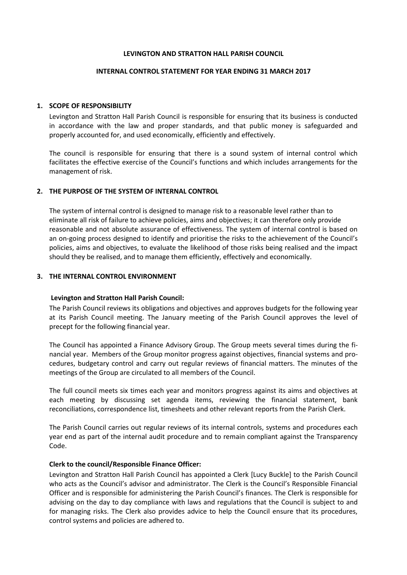#### **LEVINGTON AND STRATTON HALL PARISH COUNCIL**

#### **INTERNAL CONTROL STATEMENT FOR YEAR ENDING 31 MARCH 2017**

### **1. SCOPE OF RESPONSIBILITY**

Levington and Stratton Hall Parish Council is responsible for ensuring that its business is conducted in accordance with the law and proper standards, and that public money is safeguarded and properly accounted for, and used economically, efficiently and effectively.

The council is responsible for ensuring that there is a sound system of internal control which facilitates the effective exercise of the Council's functions and which includes arrangements for the management of risk.

### **2. THE PURPOSE OF THE SYSTEM OF INTERNAL CONTROL**

The system of internal control is designed to manage risk to a reasonable level rather than to eliminate all risk of failure to achieve policies, aims and objectives; it can therefore only provide reasonable and not absolute assurance of effectiveness. The system of internal control is based on an on-going process designed to identify and prioritise the risks to the achievement of the Council's policies, aims and objectives, to evaluate the likelihood of those risks being realised and the impact should they be realised, and to manage them efficiently, effectively and economically.

### **3. THE INTERNAL CONTROL ENVIRONMENT**

#### **Levington and Stratton Hall Parish Council:**

The Parish Council reviews its obligations and objectives and approves budgets for the following year at its Parish Council meeting. The January meeting of the Parish Council approves the level of precept for the following financial year.

The Council has appointed a Finance Advisory Group. The Group meets several times during the financial year. Members of the Group monitor progress against objectives, financial systems and procedures, budgetary control and carry out regular reviews of financial matters. The minutes of the meetings of the Group are circulated to all members of the Council.

The full council meets six times each year and monitors progress against its aims and objectives at each meeting by discussing set agenda items, reviewing the financial statement, bank reconciliations, correspondence list, timesheets and other relevant reports from the Parish Clerk.

The Parish Council carries out regular reviews of its internal controls, systems and procedures each year end as part of the internal audit procedure and to remain compliant against the Transparency Code.

#### **Clerk to the council/Responsible Finance Officer:**

Levington and Stratton Hall Parish Council has appointed a Clerk [Lucy Buckle] to the Parish Council who acts as the Council's advisor and administrator. The Clerk is the Council's Responsible Financial Officer and is responsible for administering the Parish Council's finances. The Clerk is responsible for advising on the day to day compliance with laws and regulations that the Council is subject to and for managing risks. The Clerk also provides advice to help the Council ensure that its procedures, control systems and policies are adhered to.